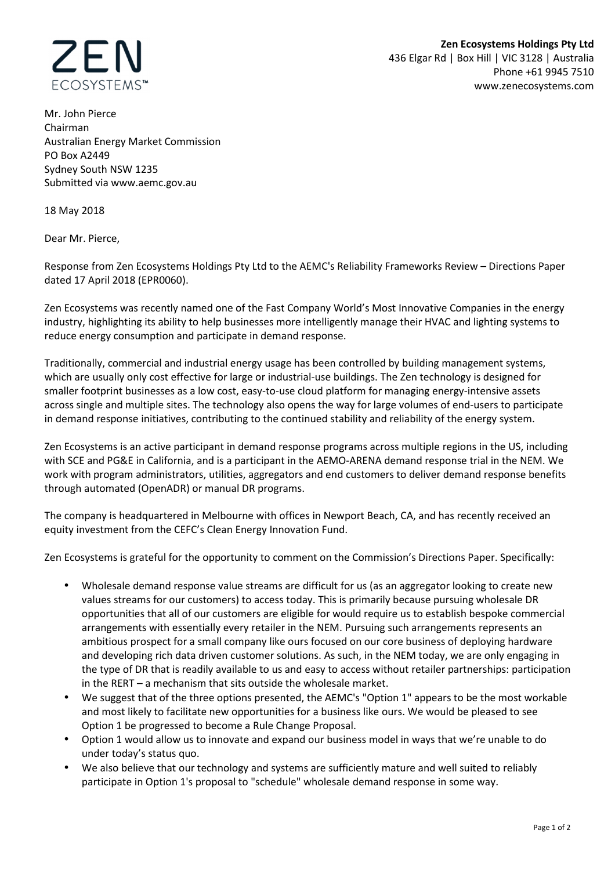

Mr. John Pierce Chairman Australian Energy Market Commission PO Box A2449 Sydney South NSW 1235 Submitted via www.aemc.gov.au

18 May 2018

Dear Mr. Pierce,

Response from Zen Ecosystems Holdings Pty Ltd to the AEMC's Reliability Frameworks Review – Directions Paper dated 17 April 2018 (EPR0060).

Zen Ecosystems was recently named one of the Fast Company World's Most Innovative Companies in the energy industry, highlighting its ability to help businesses more intelligently manage their HVAC and lighting systems to reduce energy consumption and participate in demand response.

Traditionally, commercial and industrial energy usage has been controlled by building management systems, which are usually only cost effective for large or industrial-use buildings. The Zen technology is designed for smaller footprint businesses as a low cost, easy-to-use cloud platform for managing energy-intensive assets across single and multiple sites. The technology also opens the way for large volumes of end-users to participate in demand response initiatives, contributing to the continued stability and reliability of the energy system.

Zen Ecosystems is an active participant in demand response programs across multiple regions in the US, including with SCE and PG&E in California, and is a participant in the AEMO-ARENA demand response trial in the NEM. We work with program administrators, utilities, aggregators and end customers to deliver demand response benefits through automated (OpenADR) or manual DR programs.

The company is headquartered in Melbourne with offices in Newport Beach, CA, and has recently received an equity investment from the CEFC's Clean Energy Innovation Fund.

Zen Ecosystems is grateful for the opportunity to comment on the Commission's Directions Paper. Specifically:

- Wholesale demand response value streams are difficult for us (as an aggregator looking to create new values streams for our customers) to access today. This is primarily because pursuing wholesale DR opportunities that all of our customers are eligible for would require us to establish bespoke commercial arrangements with essentially every retailer in the NEM. Pursuing such arrangements represents an ambitious prospect for a small company like ours focused on our core business of deploying hardware and developing rich data driven customer solutions. As such, in the NEM today, we are only engaging in the type of DR that is readily available to us and easy to access without retailer partnerships: participation in the RERT – a mechanism that sits outside the wholesale market.
- We suggest that of the three options presented, the AEMC's "Option 1" appears to be the most workable and most likely to facilitate new opportunities for a business like ours. We would be pleased to see Option 1 be progressed to become a Rule Change Proposal.
- Option 1 would allow us to innovate and expand our business model in ways that we're unable to do under today's status quo.
- We also believe that our technology and systems are sufficiently mature and well suited to reliably participate in Option 1's proposal to "schedule" wholesale demand response in some way.